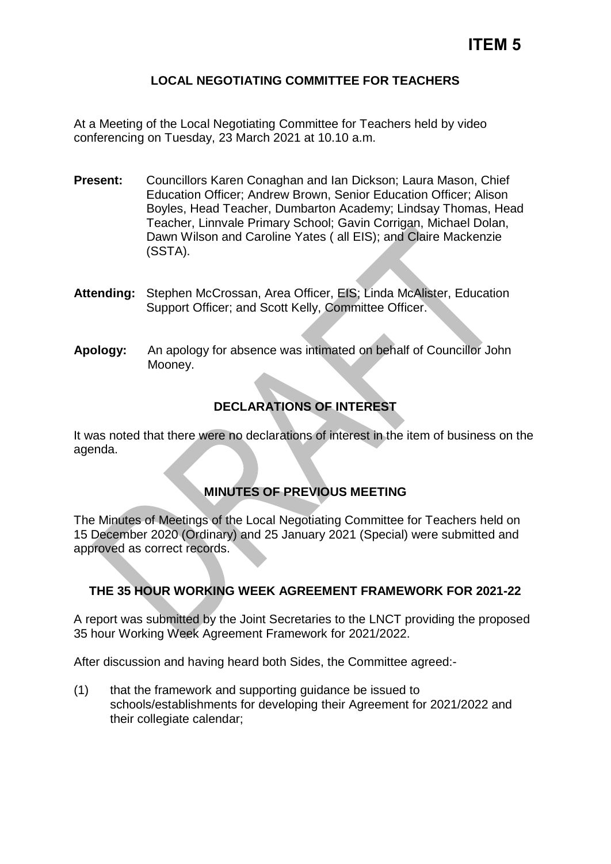## **LOCAL NEGOTIATING COMMITTEE FOR TEACHERS**

At a Meeting of the Local Negotiating Committee for Teachers held by video conferencing on Tuesday, 23 March 2021 at 10.10 a.m.

- **Present:** Councillors Karen Conaghan and Ian Dickson; Laura Mason, Chief Education Officer; Andrew Brown, Senior Education Officer; Alison Boyles, Head Teacher, Dumbarton Academy; Lindsay Thomas, Head Teacher, Linnvale Primary School; Gavin Corrigan, Michael Dolan, Dawn Wilson and Caroline Yates ( all EIS); and Claire Mackenzie (SSTA).
- **Attending:** Stephen McCrossan, Area Officer, EIS; Linda McAlister, Education Support Officer; and Scott Kelly, Committee Officer.
- **Apology:** An apology for absence was intimated on behalf of Councillor John Mooney.

## **DECLARATIONS OF INTEREST**

It was noted that there were no declarations of interest in the item of business on the agenda.

## **MINUTES OF PREVIOUS MEETING**

The Minutes of Meetings of the Local Negotiating Committee for Teachers held on 15 December 2020 (Ordinary) and 25 January 2021 (Special) were submitted and approved as correct records.

## **THE 35 HOUR WORKING WEEK AGREEMENT FRAMEWORK FOR 2021-22**

A report was submitted by the Joint Secretaries to the LNCT providing the proposed 35 hour Working Week Agreement Framework for 2021/2022.

After discussion and having heard both Sides, the Committee agreed:-

(1) that the framework and supporting guidance be issued to schools/establishments for developing their Agreement for 2021/2022 and their collegiate calendar;